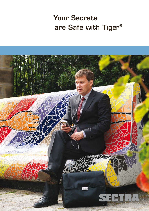# Your Secrets are Safe with Tiger®

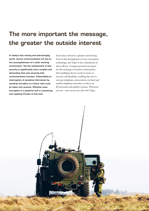## The more important the message, the greater the outside interest

In today's fast moving and everchanging world, secure communications are key to the accomplishment of a safer working environment. Yet the achievement of this security is significantly more complex and demanding than just ensuring that communications function. Vulnerability to interception of sensitive information by would-be intruders is a factor that must be taken into account. Effective voice encryption is a powerful tool in countering and repelling threats of this kind.

Sectra has evolved as a pioneer and driving force in the development of voice encryption technology, and Tiger is the culmination of these efforts. A unique personal encryptor for the exchange of sensitive information, this intelligent device excels in terms of security and flexibility enabling the user to encrypt telephone conversations via fixed and mobile telephony networks as well as via IP-networks and satellite systems. Wherever you are - your secrets are safe with Tiger.

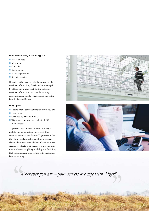#### Who needs strong voice encryption?

- $\blacksquare$  Heads of state
- $\blacksquare$  Ministers
- **n** Officials
- Ambassadors
- $\blacksquare$  Military personnel
- **n** Security service

If you have the need to verbally convey highly sensitive information, the risk of its interception by others will always exist. As the leakage of sensitive information can have devastating consequences, a totally reliable voice encryptor is an indispensable tool.

#### Why Tiger?

- $\blacksquare$  Secure phone conversations wherever you are
- Easy-to-use
- Certified by EU and NATO
- Tiger users in more than half of all EU member states

Tiger is ideally suited to function in today's mobile, intrusive, fast moving world. The common denominator for our Tiger users is that they have regulations for handling of security classified information and demands for approved security products. The beauty of Tiger lies in its unprecedented simplicity, mobility and flexibility that combines ease of operation with the highest level of security.





per ...<br>
<br>
<sup>1</sup> *"Wherever you are – your secrets are safe with Tiger®.*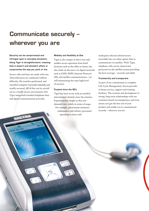## Communicate securely – wherever you are

Security can be compromised and infringed upon in everyday situations. Using Tiger is straightforward, meaning that it doesn't and shouldn't affect or compromise the way you work or live.

Secure calls and faxes are made with ease. Teleconferences are conducted without difficulty, file transfers performed, and classified computer networks remotely and readily accessed. All of this can be carried out in a totally secure environment with Tiger using both standard telephone lines and digital communication networks.

2008-03-

#### Mobility and flexibility at One

Tiger is also unique in that it not only enables secure operation from fixed locations such as the office or home, but also while on the move via digital networks such as GSM, ISDN, Internet Protocol (IP), and satellite communications – yet still maintaining the same high level of security.

#### Trusted since the 90's

Tiger has been in use with an satisfied international clientele since the nineties. Experience has taught us that user demands vary widely in terms of usage. For example, government ministers, ambassadors and military personnel operating in areas with

inadequate telecom infrastructure invariably have no other option than to communicate via satellite. With Tiger, telephone calls can be relayed and protected via the satellite system providing the best coverage – securely and safely.

#### Trustworthy and transparent

As part of our commitment to complete Life Cycle Management, Sectra provides in-house service, support and training facilities. The creation and development of strong, long-term relationships with our customers based on transparency and trust ensure you get the best out of your product and enable you to communicate securely – wherever you are.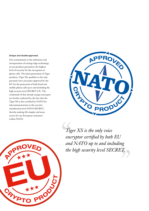#### Unique and double-approved

Our commitment to the utilization and incorporation of cutting-edge technology in our products guarantees the highest level of security for the encryption of phone calls. The latest generation of Tiger products, Tiger XS, qualifies as the only personal voice encryptor approved by the EU for the protection of both fixed and mobile phone calls up to and including the high security level SECRET UE. The credentials of this already unique encryptor are further endorsed by the fact that the Tiger XS is also certified by NATO for telecommunications at the security classification level NATO SECRET, thereby making life simpler and more secure for our European customers within NATO.



EI.5 *Ti*<sub>"</sub><br>
en *Tiger XS is the only voice encryptor certified by both EU and NATO up to and including the high security level SECRET.*

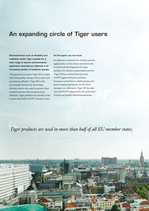### An expanding circle of Tiger users

Characteristics such as flexibility and reliability render Tiger suitable for a wide range of secure communication application demands as reflected in an increasing number of customer groups.

The personal encryptor Tiger XS is widely used and popular among civil servants and government officials. Tiger XS is also increasingly favoured by discerning decision makers who need to protect their communications with strong security solutions. Tiger products are already in use in more than half of all EU member states.

#### An Encryptor you can trust

In addition to solutions for civilian security applications, we have been involved in the research and development of crypto products for defense requirements and the Tiger XS has evolved from previous NATO-approved Sectra products. European armed forces, battle groups and peace keeping operations can be found amongst our references. Tiger XS has also received NATO approval for the protection of fixed and mobile telecommunications.

*states. Tig Tiger products are used in more than half of all EU member states.*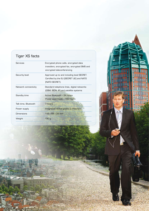### Tiger XS facts

Đ ā

| Services             | Encrypted phone calls, encrypted data<br>transfers, encrypted fax, encrypted SMS and<br>encrypted teleconferencing |
|----------------------|--------------------------------------------------------------------------------------------------------------------|
| Security level       | Approved up to and including level SECRET.<br>Certified by the EU [SECRET UE] and NATO<br>[NATO SECRET].           |
| Network connectivity | Standard telephone lines, digital networks<br>(GSM, ISDN, IP) and satellite systems                                |
| Standby time         | Active Bluetooth - 24 hours<br>Power save mode - 150 hours                                                         |
| Talk time, Bluetooth | 7 hours                                                                                                            |
| Power supply         | Integrated rechargeable (Li-Polymer)                                                                               |
| Dimensions           | 118 x 68 x 22 mm                                                                                                   |
| Weight               | 130 g                                                                                                              |